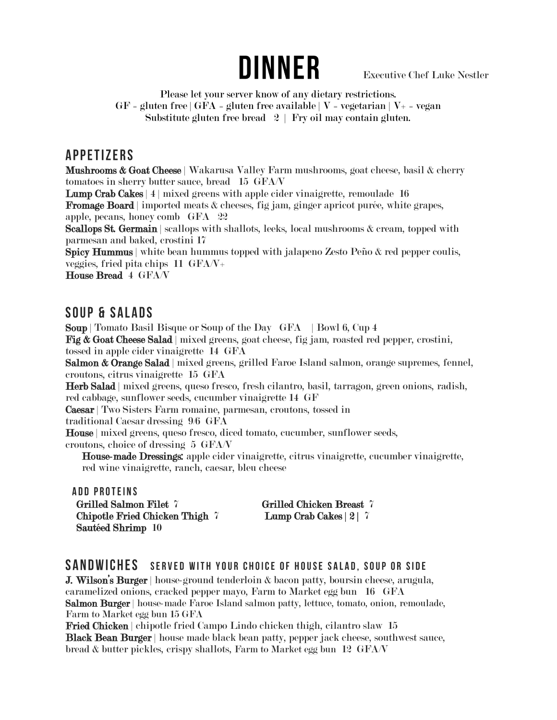# **DINNER**

Executive Chef Luke Nestler

Please let your server know of any dietary restrictions.  $GF = gluten free | GFA = gluten free available | V = vegetarian | V+ = vegan$ Substitute gluten free bread  $2 \mid$  Fry oil may contain gluten.

#### **APPETIZERS**

Mushrooms & Goat Cheese | Wakarusa Valley Farm mushrooms, goat cheese, basil & cherry tomatoes in sherry butter sauce, bread 15 GFA/V

Lump Crab Cakes | 4 | mixed greens with apple cider vinaigrette, remoulade 16

Fromage Board | imported meats & cheeses, fig jam, ginger apricot purée, white grapes, apple, pecans, honey comb GFA 22

Scallops St. Germain | scallops with shallots, leeks, local mushrooms & cream, topped with parmesan and baked, crostini 17

Spicy Hummus | white bean hummus topped with jalapeno Zesto Peño & red pepper coulis, veggies, fried pita chips 11 GFA/V+

House Bread 4 GFA/V

#### **SOUP & SALADS**

Soup | Tomato Basil Bisque or Soup of the Day GFA | Bowl 6, Cup 4 Fig & Goat Cheese Salad | mixed greens, goat cheese, fig jam, roasted red pepper, crostini, tossed in apple cider vinaigrette 14 GFA

Salmon & Orange Salad | mixed greens, grilled Faroe Island salmon, orange supremes, fennel, croutons, citrus vinaigrette 15 GFA

Herb Salad | mixed greens, queso fresco, fresh cilantro, basil, tarragon, green onions, radish, red cabbage, sunflower seeds, cucumber vinaigrette 14 GF

Caesar | Two Sisters Farm romaine, parmesan, croutons, tossed in

traditional Caesar dressing 9/6 GFA

House | mixed greens, queso fresco, diced tomato, cucumber, sunflower seeds, croutons, choice of dressing 5 GFA/V

House-made Dressings: apple cider vinaigrette, citrus vinaigrette, cucumber vinaigrette, red wine vinaigrette, ranch, caesar, bleu cheese

**ADD PROTEINS** Grilled Salmon Filet 7 Grilled Chicken Breast 7 Chipotle Fried Chicken Thigh 7 Lump Crab Cakes | 2 | 7 Sautéed Shrimp 10

#### SANDWICHES SERVED WITH YOUR CHOICE OF HOUSE SALAD, SOUP OR SIDE

**J. Wilson's Burger** | house-ground tenderloin & bacon patty, boursin cheese, arugula, caramelized onions, cracked pepper mayo, Farm to Market egg bun 16 GFA Salmon Burger | house-made Faroe Island salmon patty, lettuce, tomato, onion, remoulade, Farm to Market egg bun 15 GFA

Fried Chicken | chipotle fried Campo Lindo chicken thigh, cilantro slaw 15 Black Bean Burger | house made black bean patty, pepper jack cheese, southwest sauce, bread & butter pickles, crispy shallots, Farm to Market egg bun 12 GFA/V